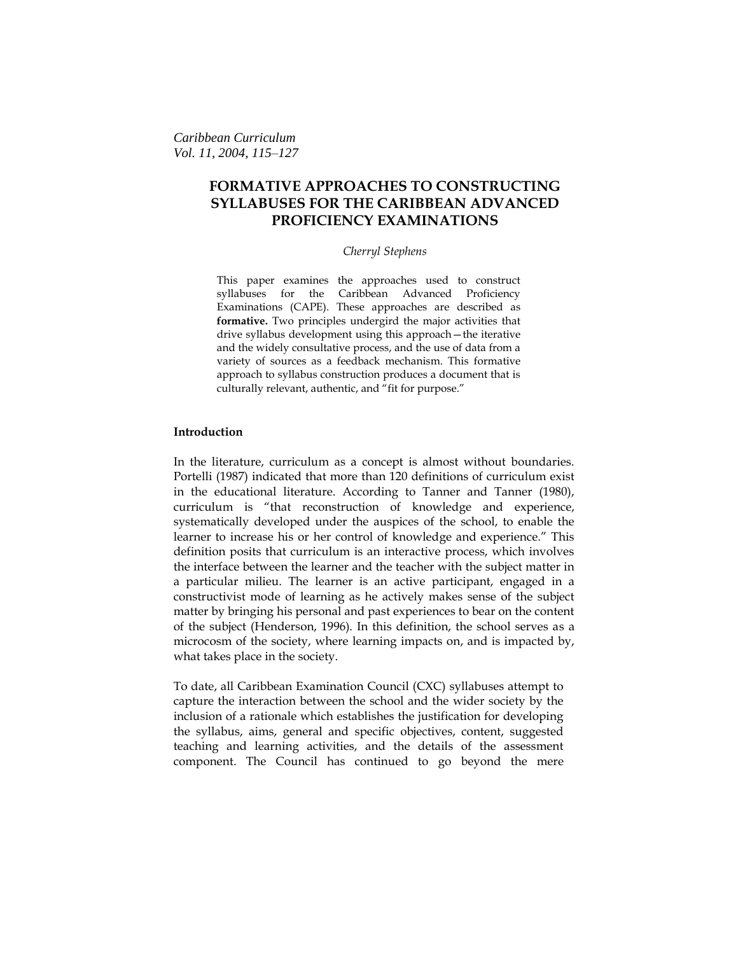*Caribbean Curriculum Vol. 11, 2004, 115–127*

# **FORMATIVE APPROACHES TO CONSTRUCTING SYLLABUSES FOR THE CARIBBEAN ADVANCED PROFICIENCY EXAMINATIONS**

### *Cherryl Stephens*

This paper examines the approaches used to construct syllabuses for the Caribbean Advanced Proficiency Examinations (CAPE). These approaches are described as **formative.** Two principles undergird the major activities that drive syllabus development using this approach—the iterative and the widely consultative process, and the use of data from a variety of sources as a feedback mechanism. This formative approach to syllabus construction produces a document that is culturally relevant, authentic, and "fit for purpose."

### **Introduction**

In the literature, curriculum as a concept is almost without boundaries. Portelli (1987) indicated that more than 120 definitions of curriculum exist in the educational literature. According to Tanner and Tanner (1980), curriculum is "that reconstruction of knowledge and experience, systematically developed under the auspices of the school, to enable the learner to increase his or her control of knowledge and experience." This definition posits that curriculum is an interactive process, which involves the interface between the learner and the teacher with the subject matter in a particular milieu. The learner is an active participant, engaged in a constructivist mode of learning as he actively makes sense of the subject matter by bringing his personal and past experiences to bear on the content of the subject (Henderson, 1996). In this definition, the school serves as a microcosm of the society, where learning impacts on, and is impacted by, what takes place in the society.

To date, all Caribbean Examination Council (CXC) syllabuses attempt to capture the interaction between the school and the wider society by the inclusion of a rationale which establishes the justification for developing the syllabus, aims, general and specific objectives, content, suggested teaching and learning activities, and the details of the assessment component. The Council has continued to go beyond the mere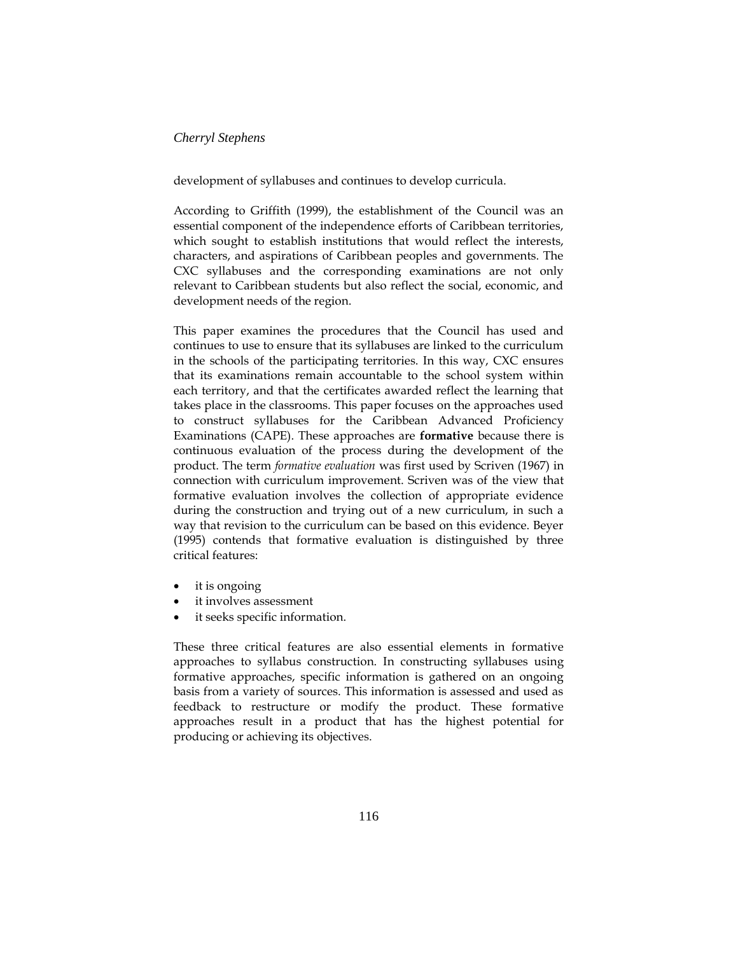development of syllabuses and continues to develop curricula.

According to Griffith (1999), the establishment of the Council was an essential component of the independence efforts of Caribbean territories, which sought to establish institutions that would reflect the interests, characters, and aspirations of Caribbean peoples and governments. The CXC syllabuses and the corresponding examinations are not only relevant to Caribbean students but also reflect the social, economic, and development needs of the region.

This paper examines the procedures that the Council has used and continues to use to ensure that its syllabuses are linked to the curriculum in the schools of the participating territories. In this way, CXC ensures that its examinations remain accountable to the school system within each territory, and that the certificates awarded reflect the learning that takes place in the classrooms. This paper focuses on the approaches used to construct syllabuses for the Caribbean Advanced Proficiency Examinations (CAPE). These approaches are **formative** because there is continuous evaluation of the process during the development of the product. The term *formative evaluation* was first used by Scriven (1967) in connection with curriculum improvement. Scriven was of the view that formative evaluation involves the collection of appropriate evidence during the construction and trying out of a new curriculum, in such a way that revision to the curriculum can be based on this evidence. Beyer (1995) contends that formative evaluation is distinguished by three critical features:

- it is ongoing
- it involves assessment
- it seeks specific information.

These three critical features are also essential elements in formative approaches to syllabus construction. In constructing syllabuses using formative approaches, specific information is gathered on an ongoing basis from a variety of sources. This information is assessed and used as feedback to restructure or modify the product. These formative approaches result in a product that has the highest potential for producing or achieving its objectives.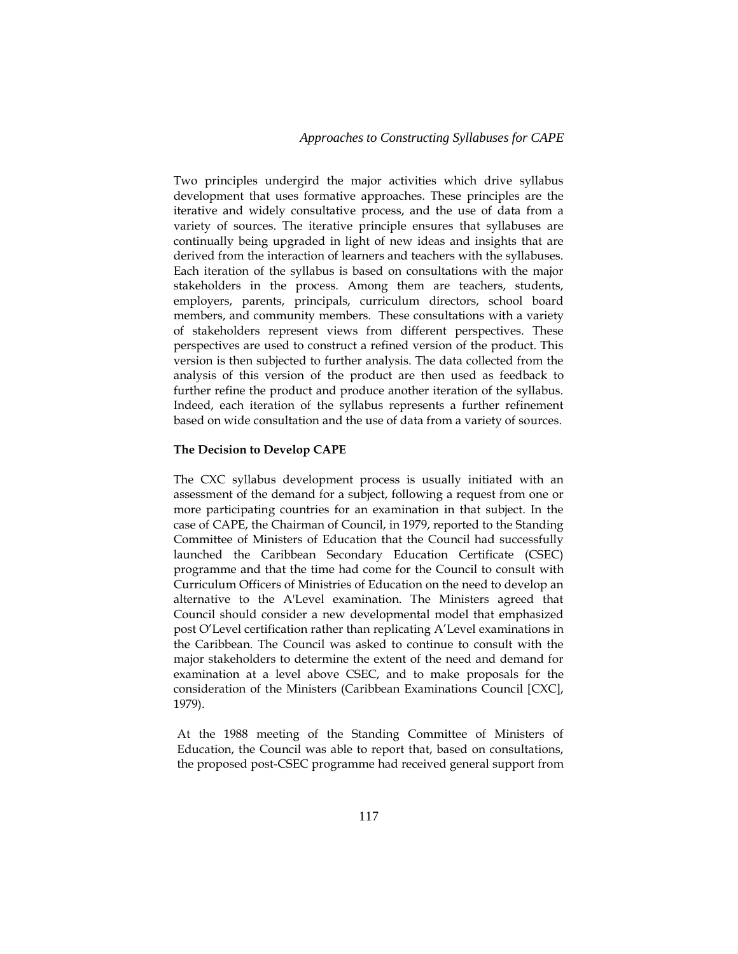Two principles undergird the major activities which drive syllabus development that uses formative approaches. These principles are the iterative and widely consultative process, and the use of data from a variety of sources. The iterative principle ensures that syllabuses are continually being upgraded in light of new ideas and insights that are derived from the interaction of learners and teachers with the syllabuses. Each iteration of the syllabus is based on consultations with the major stakeholders in the process. Among them are teachers, students, employers, parents, principals, curriculum directors, school board members, and community members. These consultations with a variety of stakeholders represent views from different perspectives. These perspectives are used to construct a refined version of the product. This version is then subjected to further analysis. The data collected from the analysis of this version of the product are then used as feedback to further refine the product and produce another iteration of the syllabus. Indeed, each iteration of the syllabus represents a further refinement based on wide consultation and the use of data from a variety of sources.

#### **The Decision to Develop CAPE**

The CXC syllabus development process is usually initiated with an assessment of the demand for a subject, following a request from one or more participating countries for an examination in that subject. In the case of CAPE, the Chairman of Council, in 1979, reported to the Standing Committee of Ministers of Education that the Council had successfully launched the Caribbean Secondary Education Certificate (CSEC) programme and that the time had come for the Council to consult with Curriculum Officers of Ministries of Education on the need to develop an alternative to the A'Level examination. The Ministers agreed that Council should consider a new developmental model that emphasized post O'Level certification rather than replicating A'Level examinations in the Caribbean. The Council was asked to continue to consult with the major stakeholders to determine the extent of the need and demand for examination at a level above CSEC, and to make proposals for the consideration of the Ministers (Caribbean Examinations Council [CXC], 1979).

At the 1988 meeting of the Standing Committee of Ministers of Education, the Council was able to report that, based on consultations, the proposed post-CSEC programme had received general support from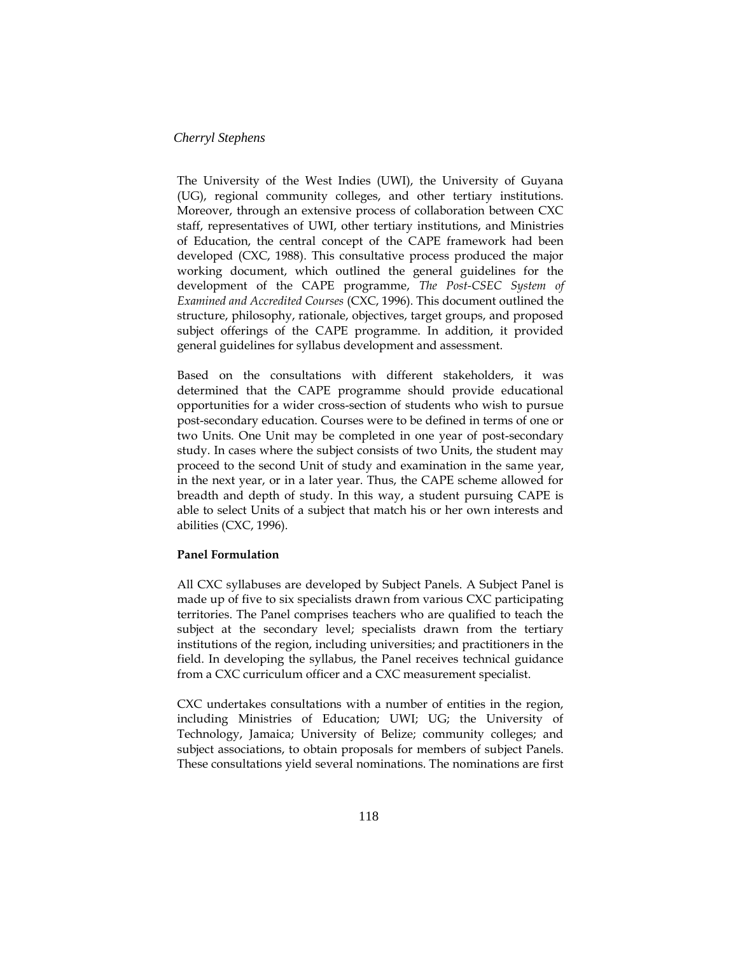The University of the West Indies (UWI), the University of Guyana (UG), regional community colleges, and other tertiary institutions. Moreover, through an extensive process of collaboration between CXC staff, representatives of UWI, other tertiary institutions, and Ministries of Education, the central concept of the CAPE framework had been developed (CXC, 1988). This consultative process produced the major working document, which outlined the general guidelines for the development of the CAPE programme, *The Post-CSEC System of Examined and Accredited Courses* (CXC, 1996). This document outlined the structure, philosophy, rationale, objectives, target groups, and proposed subject offerings of the CAPE programme. In addition, it provided general guidelines for syllabus development and assessment.

Based on the consultations with different stakeholders, it was determined that the CAPE programme should provide educational opportunities for a wider cross-section of students who wish to pursue post-secondary education. Courses were to be defined in terms of one or two Units. One Unit may be completed in one year of post-secondary study. In cases where the subject consists of two Units, the student may proceed to the second Unit of study and examination in the same year, in the next year, or in a later year. Thus, the CAPE scheme allowed for breadth and depth of study. In this way, a student pursuing CAPE is able to select Units of a subject that match his or her own interests and abilities (CXC, 1996).

### **Panel Formulation**

All CXC syllabuses are developed by Subject Panels. A Subject Panel is made up of five to six specialists drawn from various CXC participating territories. The Panel comprises teachers who are qualified to teach the subject at the secondary level; specialists drawn from the tertiary institutions of the region, including universities; and practitioners in the field. In developing the syllabus, the Panel receives technical guidance from a CXC curriculum officer and a CXC measurement specialist.

CXC undertakes consultations with a number of entities in the region, including Ministries of Education; UWI; UG; the University of Technology, Jamaica; University of Belize; community colleges; and subject associations, to obtain proposals for members of subject Panels. These consultations yield several nominations. The nominations are first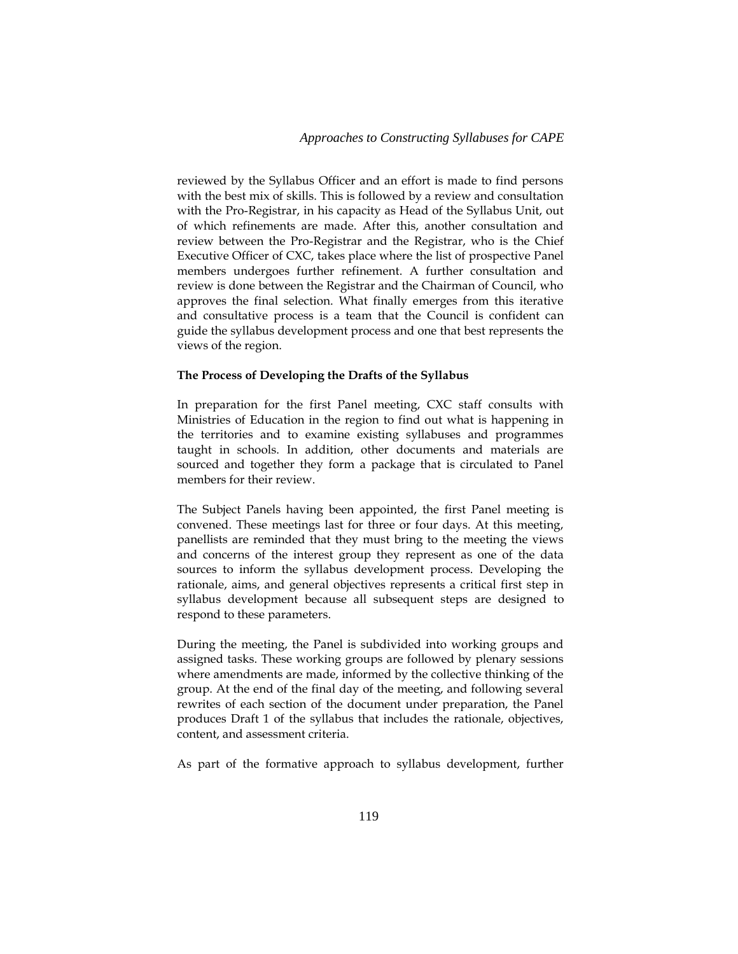reviewed by the Syllabus Officer and an effort is made to find persons with the best mix of skills. This is followed by a review and consultation with the Pro-Registrar, in his capacity as Head of the Syllabus Unit, out of which refinements are made. After this, another consultation and review between the Pro-Registrar and the Registrar, who is the Chief Executive Officer of CXC, takes place where the list of prospective Panel members undergoes further refinement. A further consultation and review is done between the Registrar and the Chairman of Council, who approves the final selection. What finally emerges from this iterative and consultative process is a team that the Council is confident can guide the syllabus development process and one that best represents the views of the region.

### **The Process of Developing the Drafts of the Syllabus**

In preparation for the first Panel meeting, CXC staff consults with Ministries of Education in the region to find out what is happening in the territories and to examine existing syllabuses and programmes taught in schools. In addition, other documents and materials are sourced and together they form a package that is circulated to Panel members for their review.

The Subject Panels having been appointed, the first Panel meeting is convened. These meetings last for three or four days. At this meeting, panellists are reminded that they must bring to the meeting the views and concerns of the interest group they represent as one of the data sources to inform the syllabus development process. Developing the rationale, aims, and general objectives represents a critical first step in syllabus development because all subsequent steps are designed to respond to these parameters.

During the meeting, the Panel is subdivided into working groups and assigned tasks. These working groups are followed by plenary sessions where amendments are made, informed by the collective thinking of the group. At the end of the final day of the meeting, and following several rewrites of each section of the document under preparation, the Panel produces Draft 1 of the syllabus that includes the rationale, objectives, content, and assessment criteria.

As part of the formative approach to syllabus development, further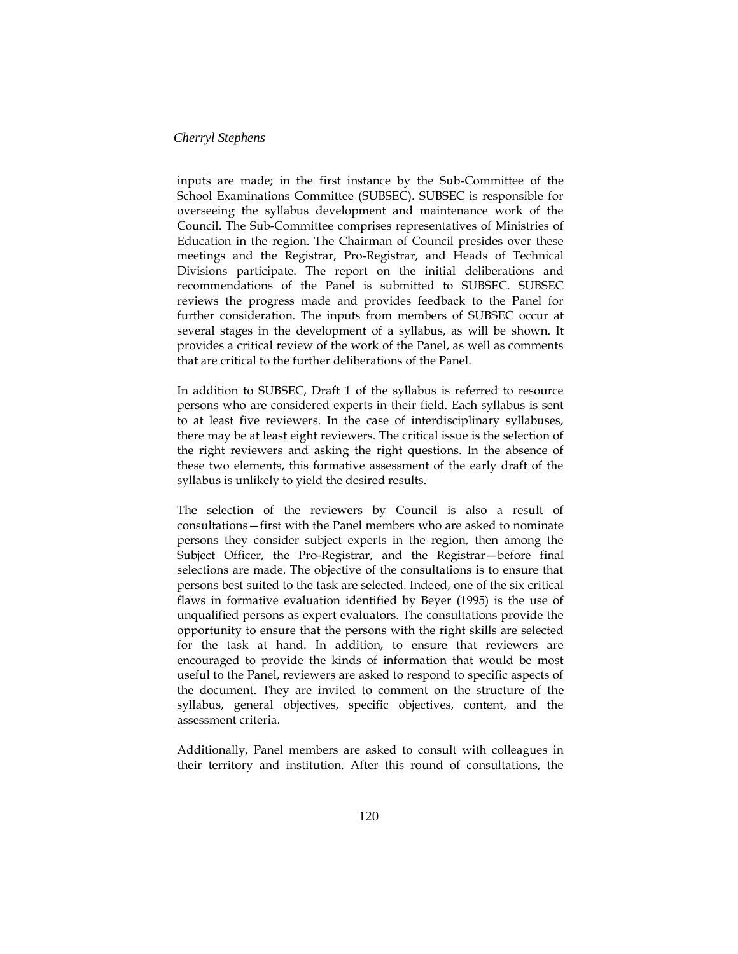inputs are made; in the first instance by the Sub-Committee of the School Examinations Committee (SUBSEC). SUBSEC is responsible for overseeing the syllabus development and maintenance work of the Council. The Sub-Committee comprises representatives of Ministries of Education in the region. The Chairman of Council presides over these meetings and the Registrar, Pro-Registrar, and Heads of Technical Divisions participate. The report on the initial deliberations and recommendations of the Panel is submitted to SUBSEC. SUBSEC reviews the progress made and provides feedback to the Panel for further consideration. The inputs from members of SUBSEC occur at several stages in the development of a syllabus, as will be shown. It provides a critical review of the work of the Panel, as well as comments that are critical to the further deliberations of the Panel.

In addition to SUBSEC, Draft 1 of the syllabus is referred to resource persons who are considered experts in their field. Each syllabus is sent to at least five reviewers. In the case of interdisciplinary syllabuses, there may be at least eight reviewers. The critical issue is the selection of the right reviewers and asking the right questions. In the absence of these two elements, this formative assessment of the early draft of the syllabus is unlikely to yield the desired results.

The selection of the reviewers by Council is also a result of consultations—first with the Panel members who are asked to nominate persons they consider subject experts in the region, then among the Subject Officer, the Pro-Registrar, and the Registrar—before final selections are made. The objective of the consultations is to ensure that persons best suited to the task are selected. Indeed, one of the six critical flaws in formative evaluation identified by Beyer (1995) is the use of unqualified persons as expert evaluators. The consultations provide the opportunity to ensure that the persons with the right skills are selected for the task at hand. In addition, to ensure that reviewers are encouraged to provide the kinds of information that would be most useful to the Panel, reviewers are asked to respond to specific aspects of the document. They are invited to comment on the structure of the syllabus, general objectives, specific objectives, content, and the assessment criteria.

Additionally, Panel members are asked to consult with colleagues in their territory and institution. After this round of consultations, the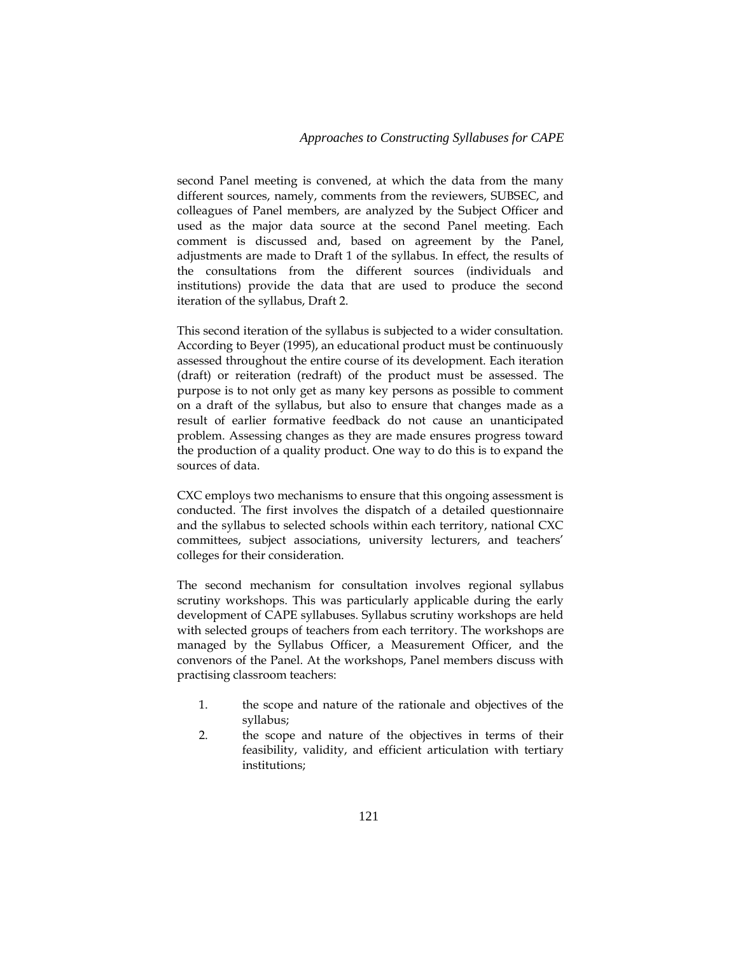### *Approaches to Constructing Syllabuses for CAPE*

second Panel meeting is convened, at which the data from the many different sources, namely, comments from the reviewers, SUBSEC, and colleagues of Panel members, are analyzed by the Subject Officer and used as the major data source at the second Panel meeting. Each comment is discussed and, based on agreement by the Panel, adjustments are made to Draft 1 of the syllabus. In effect, the results of the consultations from the different sources (individuals and institutions) provide the data that are used to produce the second iteration of the syllabus, Draft 2.

This second iteration of the syllabus is subjected to a wider consultation. According to Beyer (1995), an educational product must be continuously assessed throughout the entire course of its development. Each iteration (draft) or reiteration (redraft) of the product must be assessed. The purpose is to not only get as many key persons as possible to comment on a draft of the syllabus, but also to ensure that changes made as a result of earlier formative feedback do not cause an unanticipated problem. Assessing changes as they are made ensures progress toward the production of a quality product. One way to do this is to expand the sources of data.

CXC employs two mechanisms to ensure that this ongoing assessment is conducted. The first involves the dispatch of a detailed questionnaire and the syllabus to selected schools within each territory, national CXC committees, subject associations, university lecturers, and teachers' colleges for their consideration.

The second mechanism for consultation involves regional syllabus scrutiny workshops. This was particularly applicable during the early development of CAPE syllabuses. Syllabus scrutiny workshops are held with selected groups of teachers from each territory. The workshops are managed by the Syllabus Officer, a Measurement Officer, and the convenors of the Panel. At the workshops, Panel members discuss with practising classroom teachers:

- 1. the scope and nature of the rationale and objectives of the syllabus;
- 2. the scope and nature of the objectives in terms of their feasibility, validity, and efficient articulation with tertiary institutions;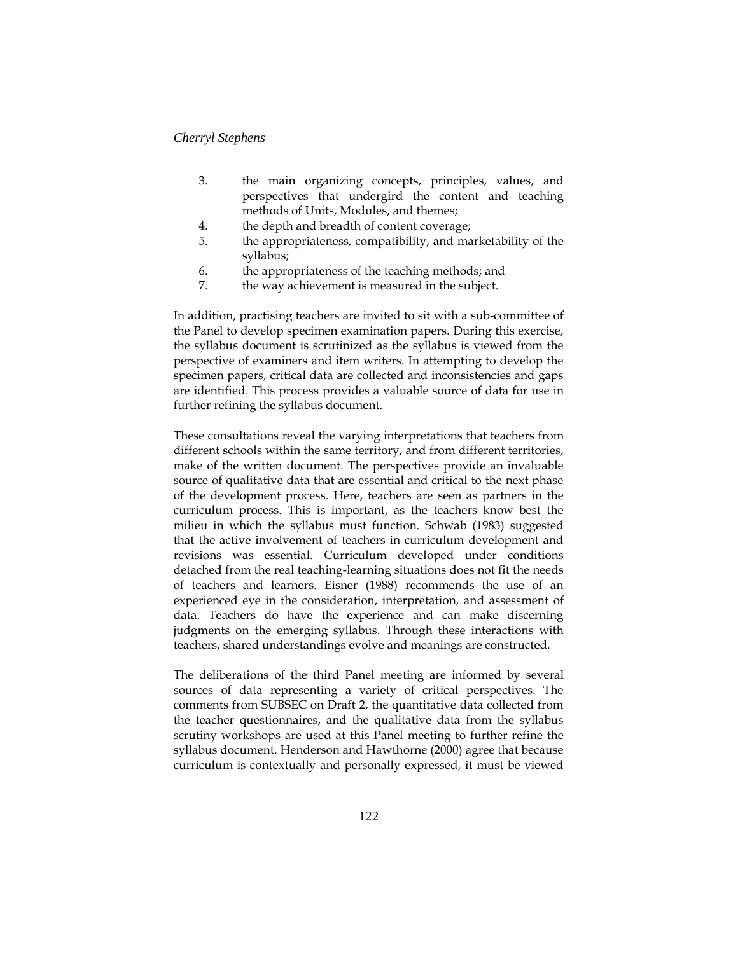- 3. the main organizing concepts, principles, values, and perspectives that undergird the content and teaching methods of Units, Modules, and themes;
- 4. the depth and breadth of content coverage;
- 5. the appropriateness, compatibility, and marketability of the syllabus;
- 6. the appropriateness of the teaching methods; and
- 7. the way achievement is measured in the subject.

In addition, practising teachers are invited to sit with a sub-committee of the Panel to develop specimen examination papers. During this exercise, the syllabus document is scrutinized as the syllabus is viewed from the perspective of examiners and item writers. In attempting to develop the specimen papers, critical data are collected and inconsistencies and gaps are identified. This process provides a valuable source of data for use in further refining the syllabus document.

These consultations reveal the varying interpretations that teachers from different schools within the same territory, and from different territories, make of the written document. The perspectives provide an invaluable source of qualitative data that are essential and critical to the next phase of the development process. Here, teachers are seen as partners in the curriculum process. This is important, as the teachers know best the milieu in which the syllabus must function. Schwab (1983) suggested that the active involvement of teachers in curriculum development and revisions was essential. Curriculum developed under conditions detached from the real teaching-learning situations does not fit the needs of teachers and learners. Eisner (1988) recommends the use of an experienced eye in the consideration, interpretation, and assessment of data. Teachers do have the experience and can make discerning judgments on the emerging syllabus. Through these interactions with teachers, shared understandings evolve and meanings are constructed.

The deliberations of the third Panel meeting are informed by several sources of data representing a variety of critical perspectives. The comments from SUBSEC on Draft 2, the quantitative data collected from the teacher questionnaires, and the qualitative data from the syllabus scrutiny workshops are used at this Panel meeting to further refine the syllabus document. Henderson and Hawthorne (2000) agree that because curriculum is contextually and personally expressed, it must be viewed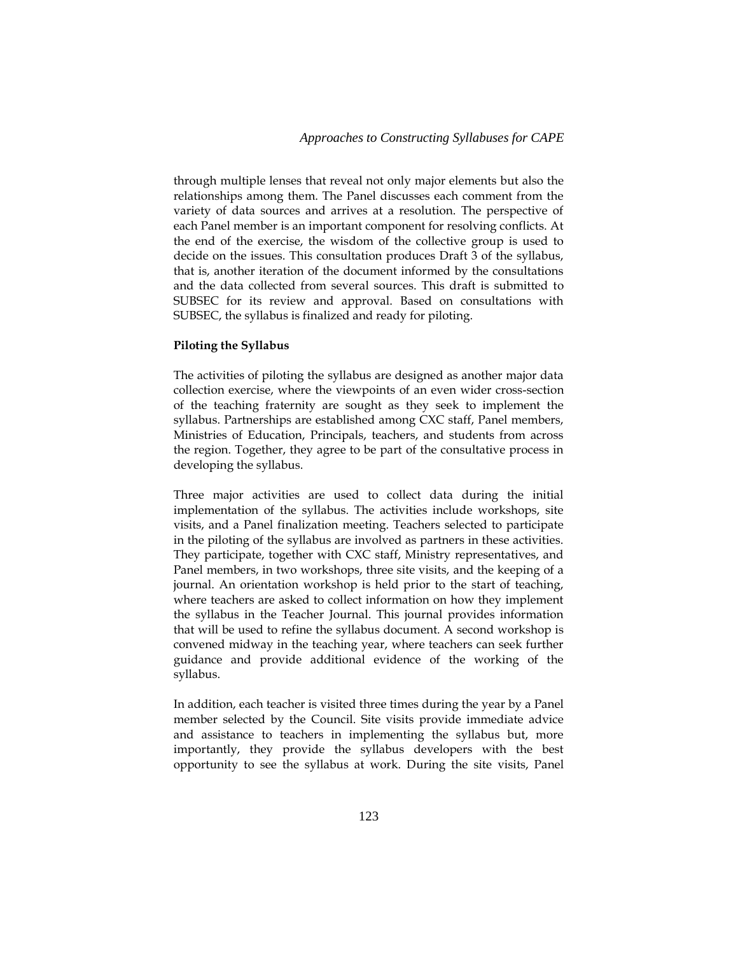through multiple lenses that reveal not only major elements but also the relationships among them. The Panel discusses each comment from the variety of data sources and arrives at a resolution. The perspective of each Panel member is an important component for resolving conflicts. At the end of the exercise, the wisdom of the collective group is used to decide on the issues. This consultation produces Draft 3 of the syllabus, that is, another iteration of the document informed by the consultations and the data collected from several sources. This draft is submitted to SUBSEC for its review and approval. Based on consultations with SUBSEC, the syllabus is finalized and ready for piloting.

#### **Piloting the Syllabus**

The activities of piloting the syllabus are designed as another major data collection exercise, where the viewpoints of an even wider cross-section of the teaching fraternity are sought as they seek to implement the syllabus. Partnerships are established among CXC staff, Panel members, Ministries of Education, Principals, teachers, and students from across the region. Together, they agree to be part of the consultative process in developing the syllabus.

Three major activities are used to collect data during the initial implementation of the syllabus. The activities include workshops, site visits, and a Panel finalization meeting. Teachers selected to participate in the piloting of the syllabus are involved as partners in these activities. They participate, together with CXC staff, Ministry representatives, and Panel members, in two workshops, three site visits, and the keeping of a journal. An orientation workshop is held prior to the start of teaching, where teachers are asked to collect information on how they implement the syllabus in the Teacher Journal. This journal provides information that will be used to refine the syllabus document. A second workshop is convened midway in the teaching year, where teachers can seek further guidance and provide additional evidence of the working of the syllabus.

In addition, each teacher is visited three times during the year by a Panel member selected by the Council. Site visits provide immediate advice and assistance to teachers in implementing the syllabus but, more importantly, they provide the syllabus developers with the best opportunity to see the syllabus at work. During the site visits, Panel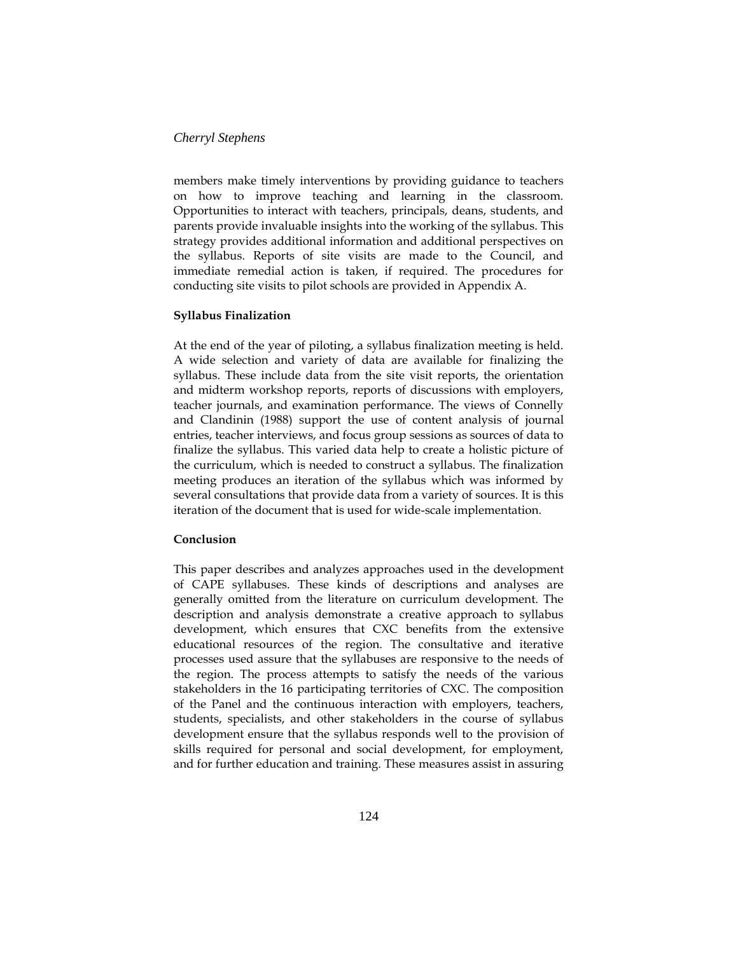members make timely interventions by providing guidance to teachers on how to improve teaching and learning in the classroom. Opportunities to interact with teachers, principals, deans, students, and parents provide invaluable insights into the working of the syllabus. This strategy provides additional information and additional perspectives on the syllabus. Reports of site visits are made to the Council, and immediate remedial action is taken, if required. The procedures for conducting site visits to pilot schools are provided in Appendix A.

### **Syllabus Finalization**

At the end of the year of piloting, a syllabus finalization meeting is held. A wide selection and variety of data are available for finalizing the syllabus. These include data from the site visit reports, the orientation and midterm workshop reports, reports of discussions with employers, teacher journals, and examination performance. The views of Connelly and Clandinin (1988) support the use of content analysis of journal entries, teacher interviews, and focus group sessions as sources of data to finalize the syllabus. This varied data help to create a holistic picture of the curriculum, which is needed to construct a syllabus. The finalization meeting produces an iteration of the syllabus which was informed by several consultations that provide data from a variety of sources. It is this iteration of the document that is used for wide-scale implementation.

#### **Conclusion**

This paper describes and analyzes approaches used in the development of CAPE syllabuses. These kinds of descriptions and analyses are generally omitted from the literature on curriculum development. The description and analysis demonstrate a creative approach to syllabus development, which ensures that CXC benefits from the extensive educational resources of the region. The consultative and iterative processes used assure that the syllabuses are responsive to the needs of the region. The process attempts to satisfy the needs of the various stakeholders in the 16 participating territories of CXC. The composition of the Panel and the continuous interaction with employers, teachers, students, specialists, and other stakeholders in the course of syllabus development ensure that the syllabus responds well to the provision of skills required for personal and social development, for employment, and for further education and training. These measures assist in assuring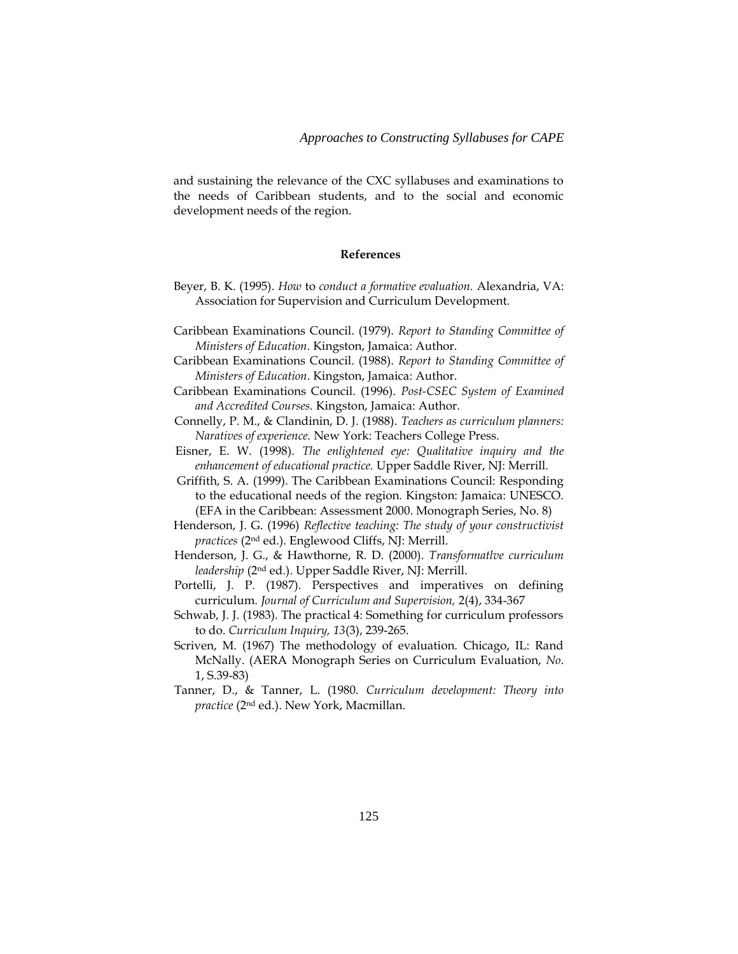and sustaining the relevance of the CXC syllabuses and examinations to the needs of Caribbean students, and to the social and economic development needs of the region.

### **References**

- Beyer, B. K. (1995). *How* to *conduct a formative evaluation.* Alexandria, VA: Association for Supervision and Curriculum Development.
- Caribbean Examinations Council. (1979). *Report to Standing Committee of Ministers of Education*. Kingston, Jamaica: Author.
- Caribbean Examinations Council. (1988). *Report to Standing Committee of Ministers of Education*. Kingston, Jamaica: Author.
- Caribbean Examinations Council. (1996). *Post-CSEC System of Examined and Accredited Courses.* Kingston, Jamaica: Author.
- Connelly, P. M., & Clandinin, D. J. (1988). *Teachers as curriculum planners: Naratives of experience.* New York: Teachers College Press.
- Eisner, E. W. (1998). *The enlightened eye: Qualitative inquiry and the enhancement of educational practice.* Upper Saddle River, NJ: Merrill.
- Griffith, S. A. (1999). The Caribbean Examinations Council: Responding to the educational needs of the region. Kingston: Jamaica: UNESCO. (EFA in the Caribbean: Assessment 2000. Monograph Series, No. 8)
- Henderson, J. G. (1996) *Reflective teaching: The study of your constructivist practices* (2nd ed.). Englewood Cliffs, NJ: Merrill.
- Henderson, J. G., & Hawthorne, R. D. (2000). *Transformatlve curriculum leadership* (2nd ed.). Upper Saddle River, NJ: Merrill.
- Portelli, J. P. (1987). Perspectives and imperatives on defining curriculum. *Journal of Curriculum and Supervision,* 2(4), 334-367
- Schwab, J. J. (1983). The practical 4: Something for curriculum professors to do. *Curriculum Inquiry, 13*(3), 239-265.
- Scriven, M. (1967) The methodology of evaluation. Chicago, IL: Rand McNally. (AERA Monograph Series on Curriculum Evaluation, *No*. 1, S.39-83)
- Tanner, D., & Tanner, L. (1980. *Curriculum development: Theory into practice* (2nd ed.). New York, Macmillan.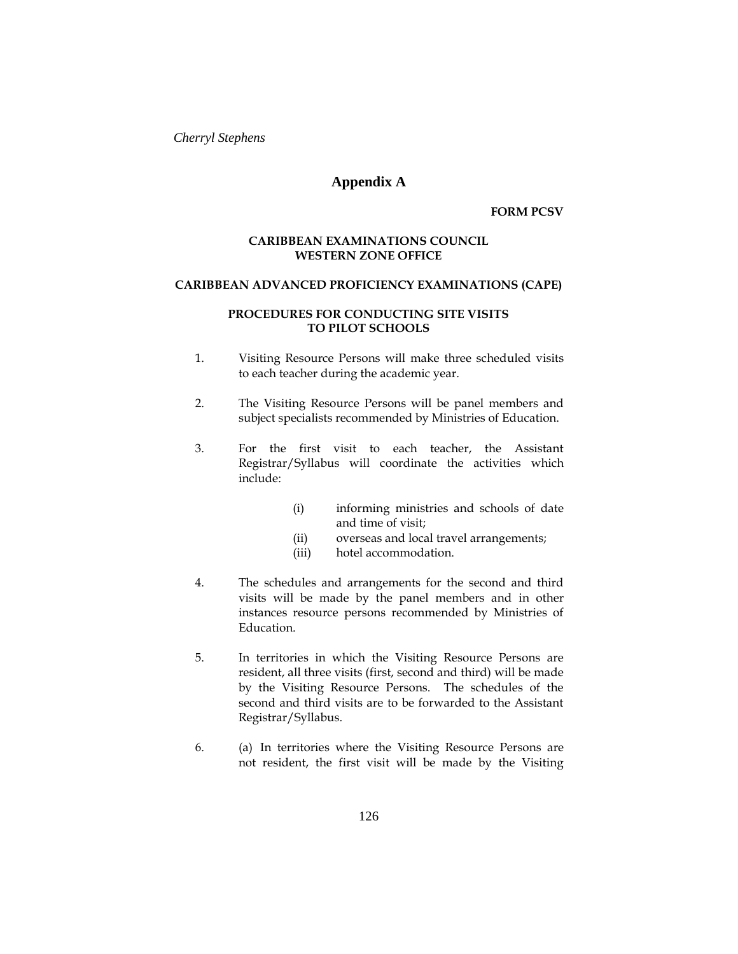## **Appendix A**

**FORM PCSV**

### **CARIBBEAN EXAMINATIONS COUNCIL WESTERN ZONE OFFICE**

### **CARIBBEAN ADVANCED PROFICIENCY EXAMINATIONS (CAPE)**

### **PROCEDURES FOR CONDUCTING SITE VISITS TO PILOT SCHOOLS**

- 1. Visiting Resource Persons will make three scheduled visits to each teacher during the academic year.
- 2. The Visiting Resource Persons will be panel members and subject specialists recommended by Ministries of Education.
- 3. For the first visit to each teacher, the Assistant Registrar/Syllabus will coordinate the activities which include:
	- (i) informing ministries and schools of date and time of visit;
	- (ii) overseas and local travel arrangements;
	- (iii) hotel accommodation.
- 4. The schedules and arrangements for the second and third visits will be made by the panel members and in other instances resource persons recommended by Ministries of Education.
- 5. In territories in which the Visiting Resource Persons are resident, all three visits (first, second and third) will be made by the Visiting Resource Persons. The schedules of the second and third visits are to be forwarded to the Assistant Registrar/Syllabus.
- 6. (a) In territories where the Visiting Resource Persons are not resident, the first visit will be made by the Visiting